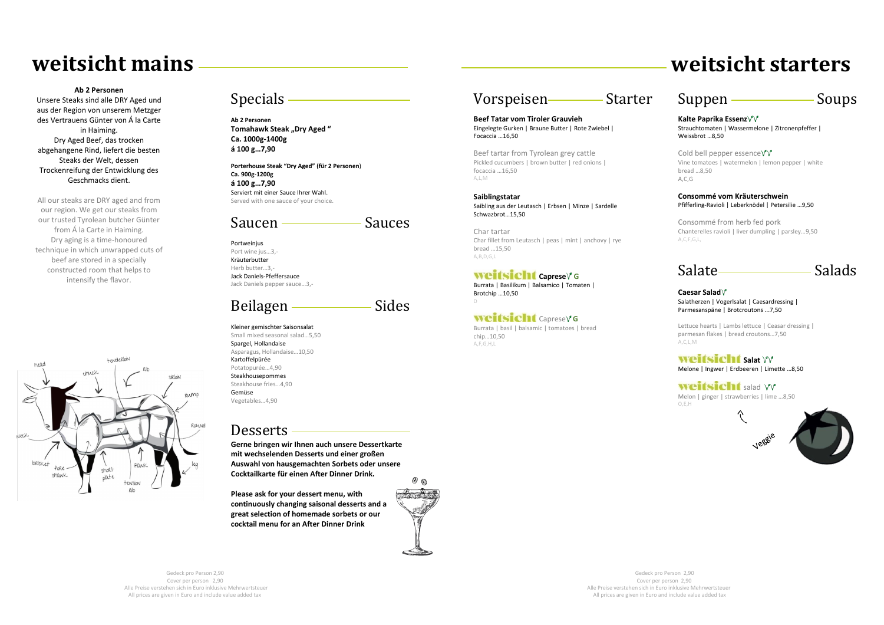# Specials

**Ab 2 Personen Tomahawk Steak "Dry Aged" Ca. 1000g-1400g á 100 g…7,90**

**Porterhouse Steak "Dry Aged" (für 2 Personen**) **Ca. 900g-1200g á 100 g…7,90** Serviert mit einer Sauce Ihrer Wahl. Served with one sauce of your choice.

# Saucen Sauces

Portweinjus Port wine jus…3,- Kräuterbutter Herb butter…3,- Jack Daniels-Pfeffersauce Jack Daniels pepper sauce…3,-

# Beilagen <u>————</u>Sides

Kleiner gemischter Saisonsalat Small mixed seasonal salad…5,50 Spargel, Hollandaise Asparagus, Hollandaise…10,50 Kartoffelpürée Potatopurée…4,90 Steakhousepommes Steakhouse fries…4,90 Gemüse Vegetables…4,90

# **Desserts**

**Gerne bringen wir Ihnen auch unsere Dessertkarte mit wechselenden Desserts und einer großen Auswahl von hausgemachten Sorbets oder unsere Cocktailkarte für einen After Dinner Drink.**

Cold bell pepper essence $\gamma$ Vine tomatoes | watermelon | lemon pepper | white bread …8,50 A,C,G

**Please ask for your dessert menu, with continuously changing saisonal desserts and a great selection of homemade sorbets or our cocktail menu for an After Dinner Drink**



# Vorspeisen Starter

weitsicht salad  $\gamma\gamma$ Melon | ginger | strawberries | lime …8,50 O,E,H



**Beef Tatar vom Tiroler Grauvieh** Eingelegte Gurken | Braune Butter | Rote Zwiebel | Focaccia …16,50

Beef tartar from Tyrolean grey cattle Pickled cucumbers | brown butter | red onions | focaccia …16,50 A,L,M

**Saiblingstatar** Saibling aus der Leutasch | Erbsen | Minze | Sardelle Schwazbrot…15,50

Char tartar Char fillet from Leutasch | peas | mint | anchovy | rye bread …15,50 A,B,D,G,L

### **Weitsicht** caprese<sup>y</sup> G

Burrata | Basilikum | Balsamico | Tomaten | Brotchip …10,50 D

### **Weitsicht** Caprese Y G

Burrata | basil | balsamic | tomatoes | bread chip…10,50 A,F,G,H,L

# Suppen Soups

**Kalte Paprika Essenz** Strauchtomaten | Wassermelone | Zitronenpfeffer | Weissbrot …8,50

#### **Consommé vom Kräuterschwein** Pfifferling-Ravioli | Leberknödel | Petersilie …9,50

Consommé from herb fed pork Chanterelles ravioli | liver dumpling | parsley…9,50 A,C,F,G,L,

Salate Salads

#### **Caesar Salad** Salatherzen | Vogerlsalat | Caesardressing | Parmesanspäne | Brotcroutons ...7,50

Lettuce hearts | Lambs lettuce | Ceasar dressing | parmesan flakes | bread croutons…7,50 A,C,L,M

### **Weitsicht** salat YV

Melone | Ingwer | Erdbeeren | Limette …8,50

 $\hat{\gamma}$ 

**Ab 2 Personen**

Unsere Steaks sind alle DRY Aged und aus der Region von unserem Metzger des Vertrauens Günter von Á la Carte in Haiming. Dry Aged Beef, das trocken abgehangene Rind, liefert die besten Steaks der Welt, dessen Trockenreifung der Entwicklung des Geschmacks dient.

All our steaks are DRY aged and from our region. We get our steaks from our trusted Tyrolean butcher Günter from Á la Carte in Haiming. Dry aging is a time-honoured technique in which unwrapped cuts of beef are stored in a specially constructed room that helps to intensify the flavor.



# **weitsicht mains weitsicht starters**